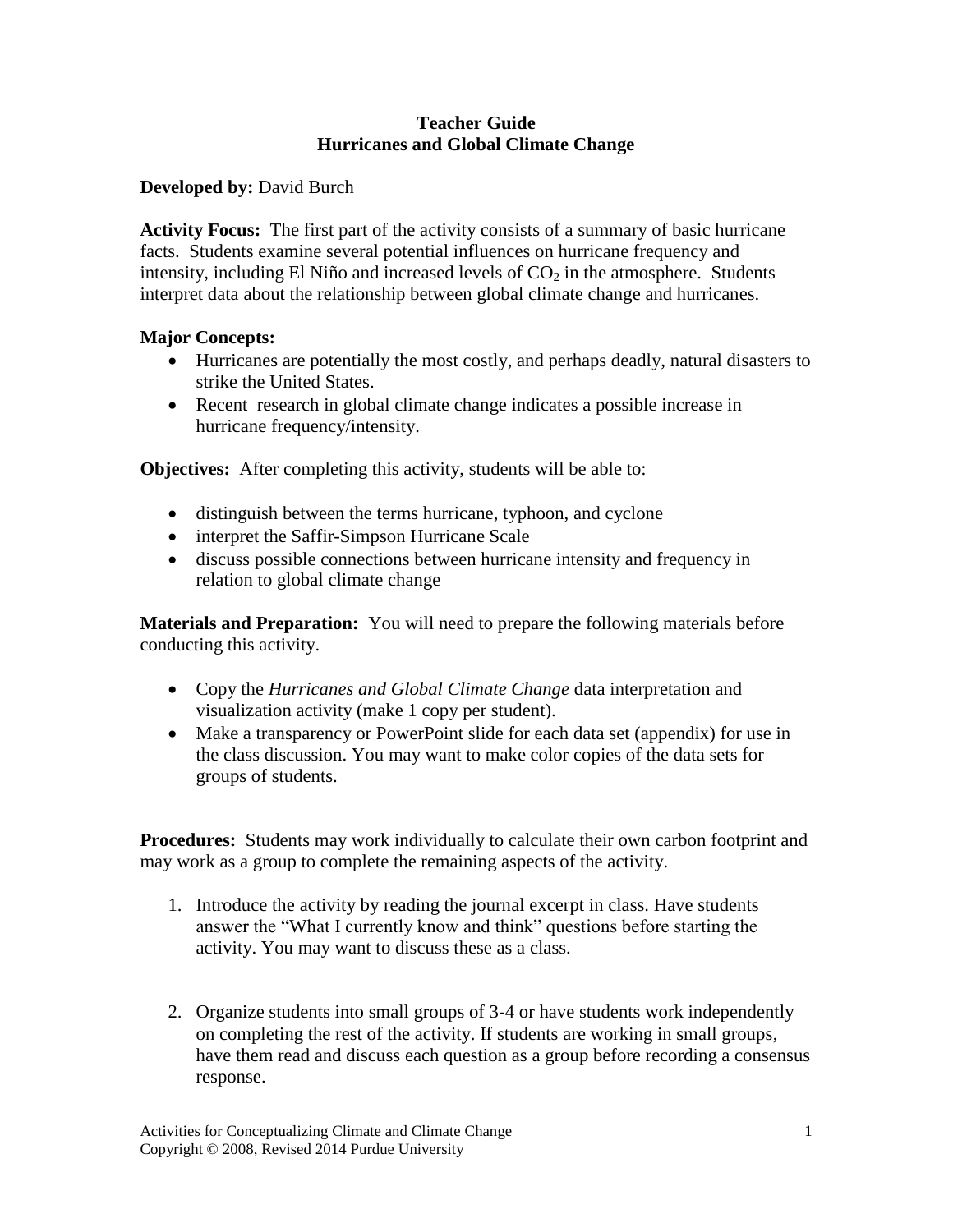### **Teacher Guide Hurricanes and Global Climate Change**

**Developed by:** David Burch

**Activity Focus:** The first part of the activity consists of a summary of basic hurricane facts. Students examine several potential influences on hurricane frequency and intensity, including El Niño and increased levels of  $CO<sub>2</sub>$  in the atmosphere. Students interpret data about the relationship between global climate change and hurricanes.

### **Major Concepts:**

- Hurricanes are potentially the most costly, and perhaps deadly, natural disasters to strike the United States.
- Recent research in global climate change indicates a possible increase in hurricane frequency/intensity.

**Objectives:** After completing this activity, students will be able to:

- distinguish between the terms hurricane, typhoon, and cyclone
- interpret the Saffir-Simpson Hurricane Scale
- discuss possible connections between hurricane intensity and frequency in relation to global climate change

**Materials and Preparation:** You will need to prepare the following materials before conducting this activity.

- Copy the *Hurricanes and Global Climate Change* data interpretation and visualization activity (make 1 copy per student).
- Make a transparency or PowerPoint slide for each data set (appendix) for use in the class discussion. You may want to make color copies of the data sets for groups of students.

**Procedures:** Students may work individually to calculate their own carbon footprint and may work as a group to complete the remaining aspects of the activity.

- 1. Introduce the activity by reading the journal excerpt in class. Have students answer the "What I currently know and think" questions before starting the activity. You may want to discuss these as a class.
- 2. Organize students into small groups of 3-4 or have students work independently on completing the rest of the activity. If students are working in small groups, have them read and discuss each question as a group before recording a consensus response.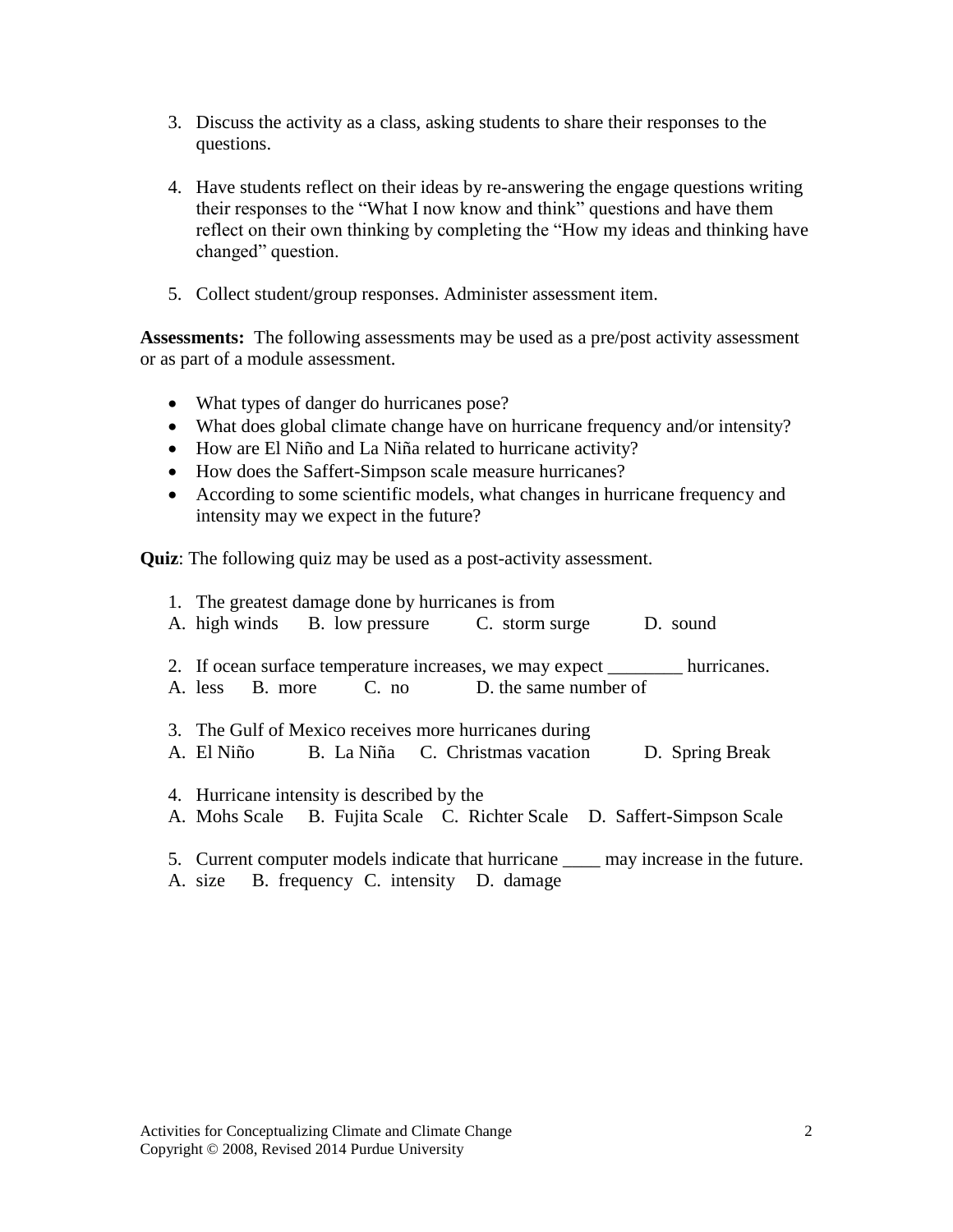- 3. Discuss the activity as a class, asking students to share their responses to the questions.
- 4. Have students reflect on their ideas by re-answering the engage questions writing their responses to the "What I now know and think" questions and have them reflect on their own thinking by completing the "How my ideas and thinking have changed" question.
- 5. Collect student/group responses. Administer assessment item.

**Assessments:** The following assessments may be used as a pre/post activity assessment or as part of a module assessment.

- What types of danger do hurricanes pose?
- What does global climate change have on hurricane frequency and/or intensity?
- How are El Niño and La Niña related to hurricane activity?
- How does the Saffert-Simpson scale measure hurricanes?
- According to some scientific models, what changes in hurricane frequency and intensity may we expect in the future?

**Quiz**: The following quiz may be used as a post-activity assessment.

| 1. The greatest damage done by hurricanes is from<br>A. high winds B. low pressure C. storm surge D. sound                          |  |
|-------------------------------------------------------------------------------------------------------------------------------------|--|
| 2. If ocean surface temperature increases, we may expect _________ hurricanes.<br>A. less B. more C. no D. the same number of       |  |
| 3. The Gulf of Mexico receives more hurricanes during<br>A. El Niño B. La Niña C. Christmas vacation D. Spring Break                |  |
| 4. Hurricane intensity is described by the<br>A. Mohs Scale B. Fujita Scale C. Richter Scale D. Saffert-Simpson Scale               |  |
| 5. Current computer models indicate that hurricane _____ may increase in the future.<br>A. size B. frequency C. intensity D. damage |  |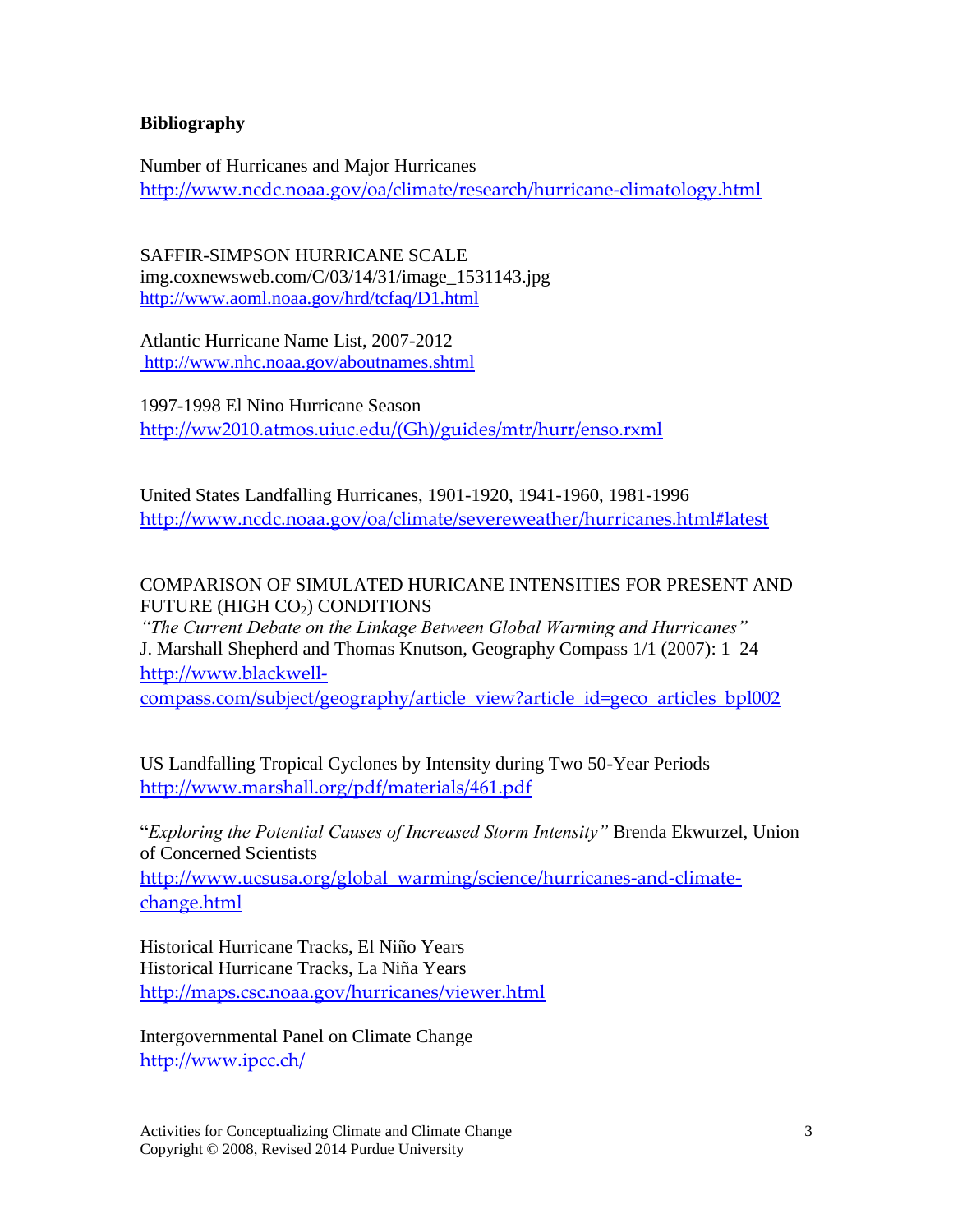### **Bibliography**

Number of Hurricanes and Major Hurricanes <http://www.ncdc.noaa.gov/oa/climate/research/hurricane-climatology.html>

SAFFIR-SIMPSON HURRICANE SCALE img.coxnewsweb.com/C/03/14/31/image\_1531143.jpg <http://www.aoml.noaa.gov/hrd/tcfaq/D1.html>

Atlantic Hurricane Name List, 2007-2012 http://www.nhc.noaa.gov/aboutnames.shtml

1997-1998 El Nino Hurricane Season [http://ww2010.atmos.uiuc.edu/\(Gh\)/guides/mtr/hurr/enso.rxml](http://ww2010.atmos.uiuc.edu/(Gh)/guides/mtr/hurr/enso.rxml)

United States Landfalling Hurricanes, 1901-1920, 1941-1960, 1981-1996 <http://www.ncdc.noaa.gov/oa/climate/severeweather/hurricanes.html#latest>

## COMPARISON OF SIMULATED HURICANE INTENSITIES FOR PRESENT AND FUTURE (HIGH  $CO<sub>2</sub>$ ) CONDITIONS

*"The Current Debate on the Linkage Between Global Warming and Hurricanes"* J. Marshall Shepherd and Thomas Knutson, Geography Compass 1/1 (2007): 1–24 [http://www.blackwell-](http://www.blackwell-compass.com/subject/geography/article_view?article_id=geco_articles_bpl002)

[compass.com/subject/geography/article\\_view?article\\_id=geco\\_articles\\_bpl002](http://www.blackwell-compass.com/subject/geography/article_view?article_id=geco_articles_bpl002)

US Landfalling Tropical Cyclones by Intensity during Two 50-Year Periods <http://www.marshall.org/pdf/materials/461.pdf>

"*Exploring the Potential Causes of Increased Storm Intensity"* Brenda Ekwurzel, Union of Concerned Scientists [http://www.ucsusa.org/global\\_warming/science/hurricanes-and-climate](http://www.ucsusa.org/global_warming/science/hurricanes-and-climate-change.html)[change.html](http://www.ucsusa.org/global_warming/science/hurricanes-and-climate-change.html)

Historical Hurricane Tracks, El Niño Years Historical Hurricane Tracks, La Niña Years <http://maps.csc.noaa.gov/hurricanes/viewer.html>

Intergovernmental Panel on Climate Change <http://www.ipcc.ch/>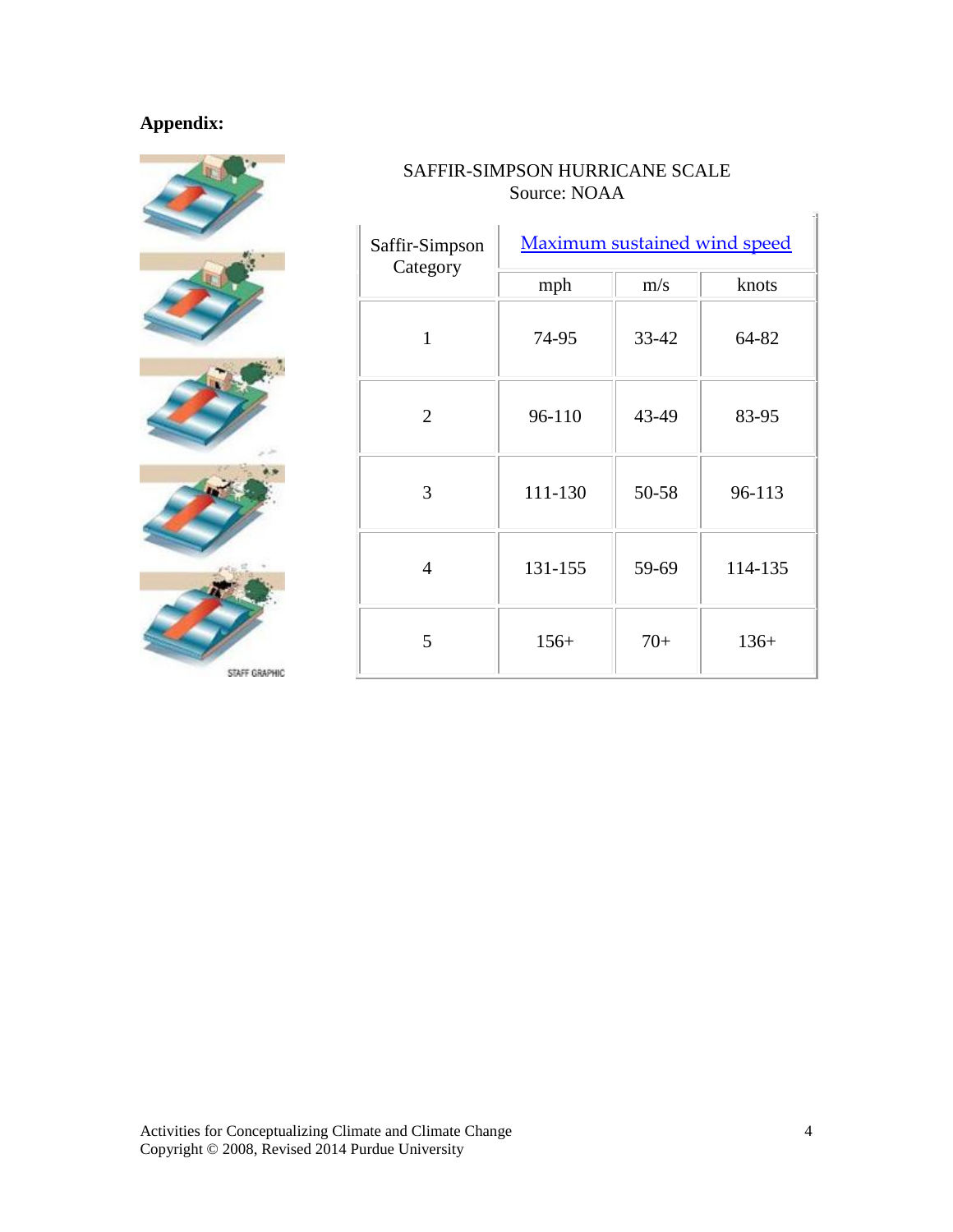# **Appendix:**



## SAFFIR-SIMPSON HURRICANE SCALE Source: NOAA

| Saffir-Simpson<br>Category | <b>Maximum sustained wind speed</b> |       |         |  |
|----------------------------|-------------------------------------|-------|---------|--|
|                            | mph                                 | m/s   | knots   |  |
| 1                          | 74-95                               | 33-42 | 64-82   |  |
| $\overline{2}$             | 96-110                              | 43-49 | 83-95   |  |
| 3                          | 111-130                             | 50-58 | 96-113  |  |
| 4                          | 131-155                             | 59-69 | 114-135 |  |
| 5                          | $156+$                              | $70+$ | $136+$  |  |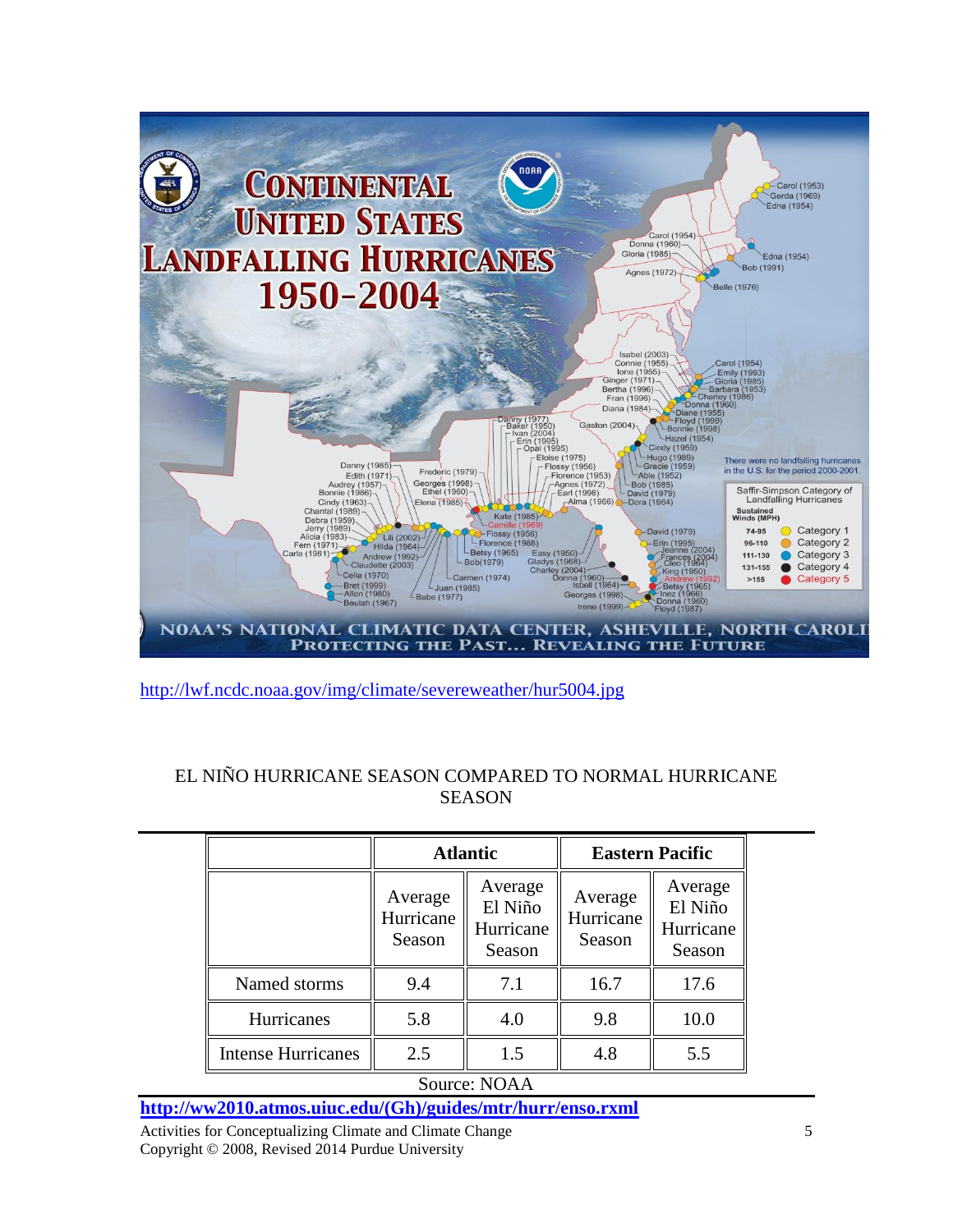

<http://lwf.ncdc.noaa.gov/img/climate/severeweather/hur5004.jpg>

| <b>Atlantic</b>                |                                           | <b>Eastern Pacific</b>         |                                           |  |
|--------------------------------|-------------------------------------------|--------------------------------|-------------------------------------------|--|
| Average<br>Hurricane<br>Season | Average<br>El Niño<br>Hurricane<br>Season | Average<br>Hurricane<br>Season | Average<br>El Niño<br>Hurricane<br>Season |  |
| 9.4                            | 7.1                                       | 16.7                           | 17.6                                      |  |
| 5.8                            | 4.0                                       | 9.8                            | 10.0                                      |  |
| 2.5                            | 1.5                                       | 4.8                            | 5.5                                       |  |
|                                |                                           |                                |                                           |  |

# EL NIÑO HURRICANE SEASON COMPARED TO NORMAL HURRICANE **SEASON**

**[http://ww2010.atmos.uiuc.edu/\(Gh\)/guides/mtr/hurr/enso.rxml](http://ww2010.atmos.uiuc.edu/(Gh)/guides/mtr/hurr/enso.rxml)**

Activities for Conceptualizing Climate and Climate Change Copyright © 2008, Revised 2014 Purdue University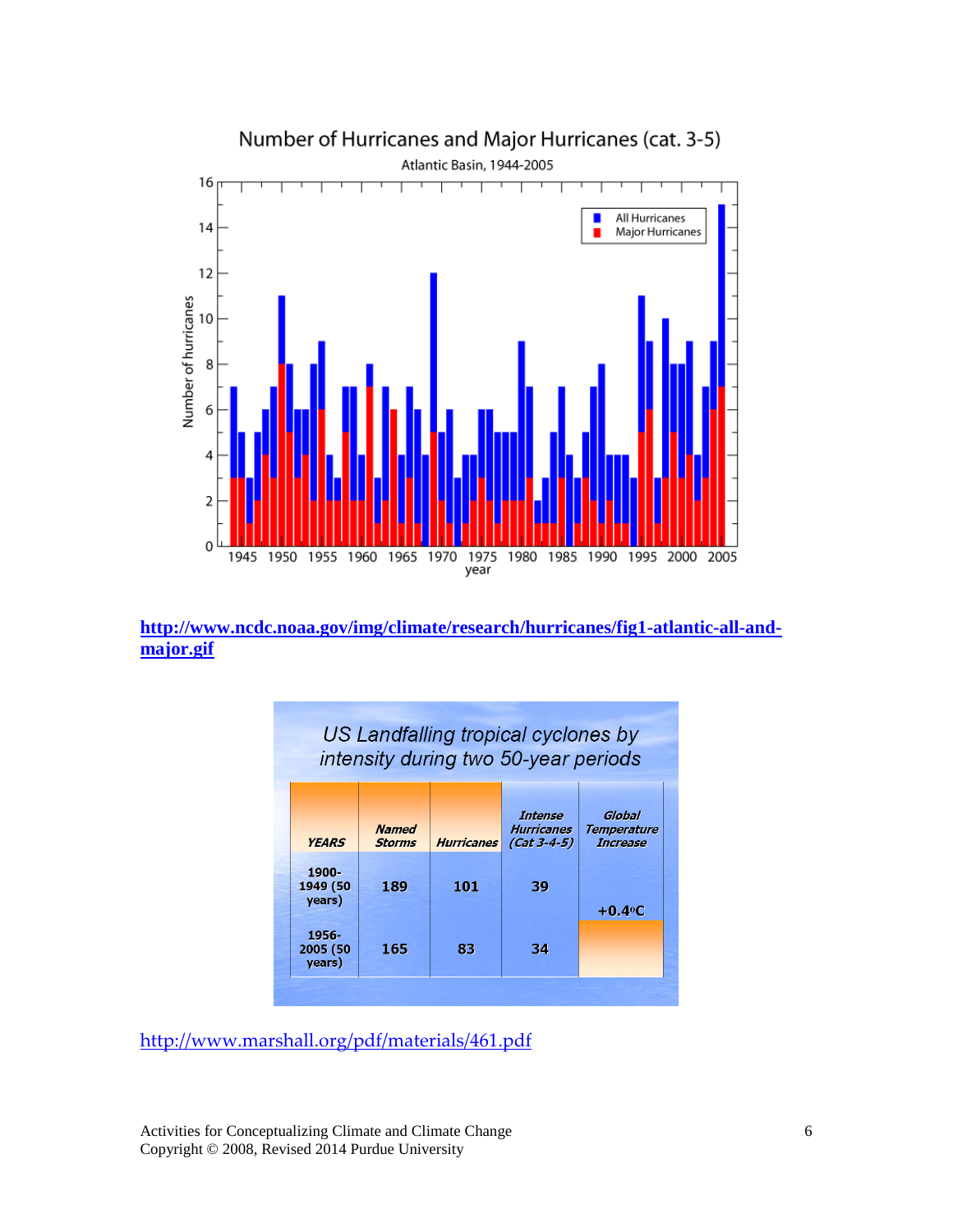

**[http://www.ncdc.noaa.gov/img/climate/research/hurricanes/fig1-atlantic-all-and](http://www.ncdc.noaa.gov/img/climate/research/hurricanes/fig1-atlantic-all-and-major.gif)[major.gif](http://www.ncdc.noaa.gov/img/climate/research/hurricanes/fig1-atlantic-all-and-major.gif)**

| US Landfalling tropical cyclones by<br>intensity during two 50-year periods |                               |                   |                                               |                                                 |  |  |
|-----------------------------------------------------------------------------|-------------------------------|-------------------|-----------------------------------------------|-------------------------------------------------|--|--|
| <b>YEARS</b>                                                                | <b>Named</b><br><b>Storms</b> | <b>Hurricanes</b> | Intense<br><b>Hurricanes</b><br>$(Cat 3-4-5)$ | Global<br><b>Temperature</b><br><b>Increase</b> |  |  |
| 1900-<br>1949 (50<br>years)                                                 | 189                           | 101               | 39                                            | $+0.4$ <sup>o</sup> C                           |  |  |
| 1956-<br>2005 (50<br>years)                                                 | 165                           | 83                | 34                                            |                                                 |  |  |

<http://www.marshall.org/pdf/materials/461.pdf>

Activities for Conceptualizing Climate and Climate Change Copyright © 2008, Revised 2014 Purdue University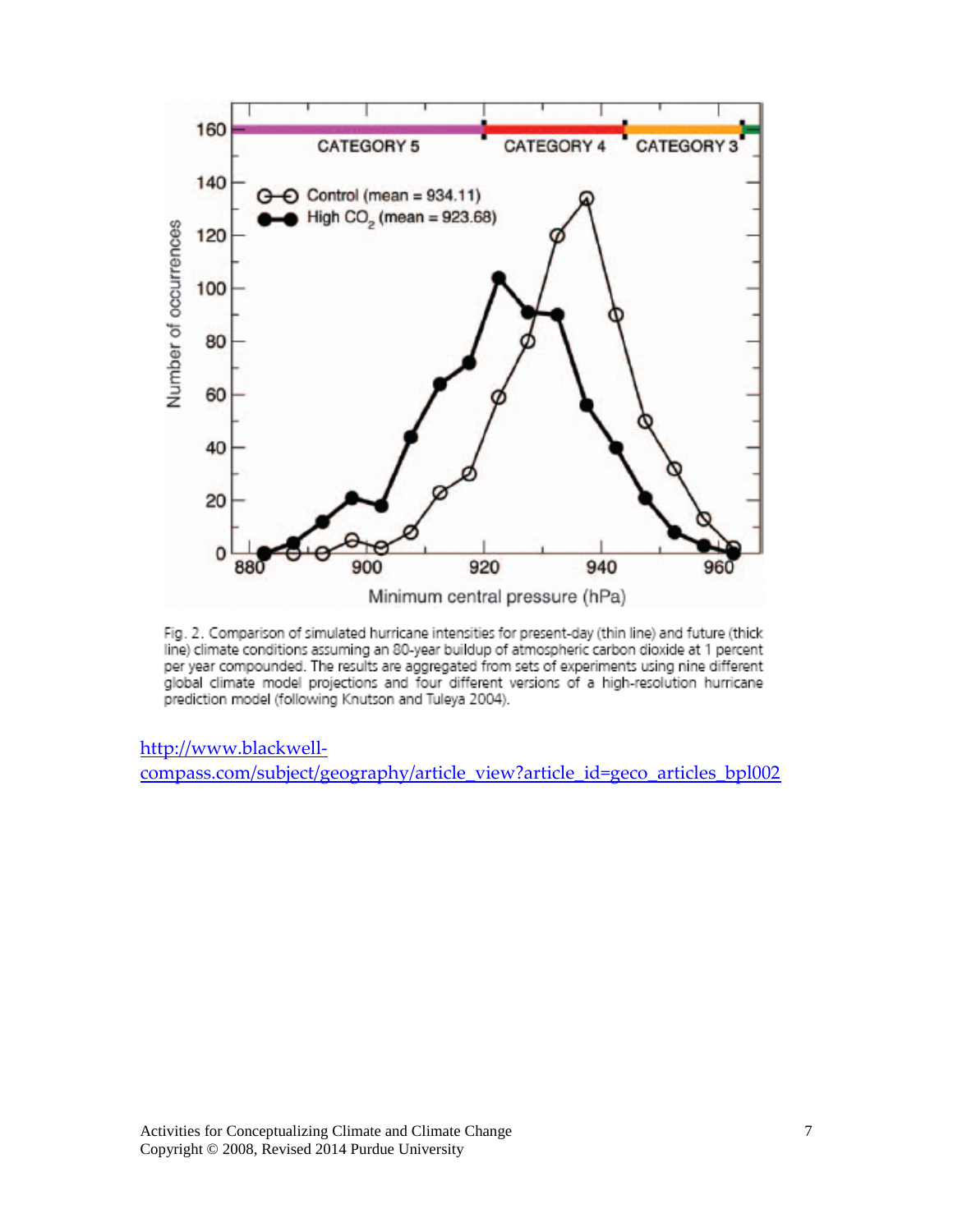

Fig. 2. Comparison of simulated hurricane intensities for present-day (thin line) and future (thick line) climate conditions assuming an 80-year buildup of atmospheric carbon dioxide at 1 percent per year compounded. The results are aggregated from sets of experiments using nine different global climate model projections and four different versions of a high-resolution hurricane prediction model (following Knutson and Tuleya 2004).

[http://www.blackwell-](http://www.blackwell-compass.com/subject/geography/article_view?article_id=geco_articles_bpl002)

[compass.com/subject/geography/article\\_view?article\\_id=geco\\_articles\\_bpl002](http://www.blackwell-compass.com/subject/geography/article_view?article_id=geco_articles_bpl002)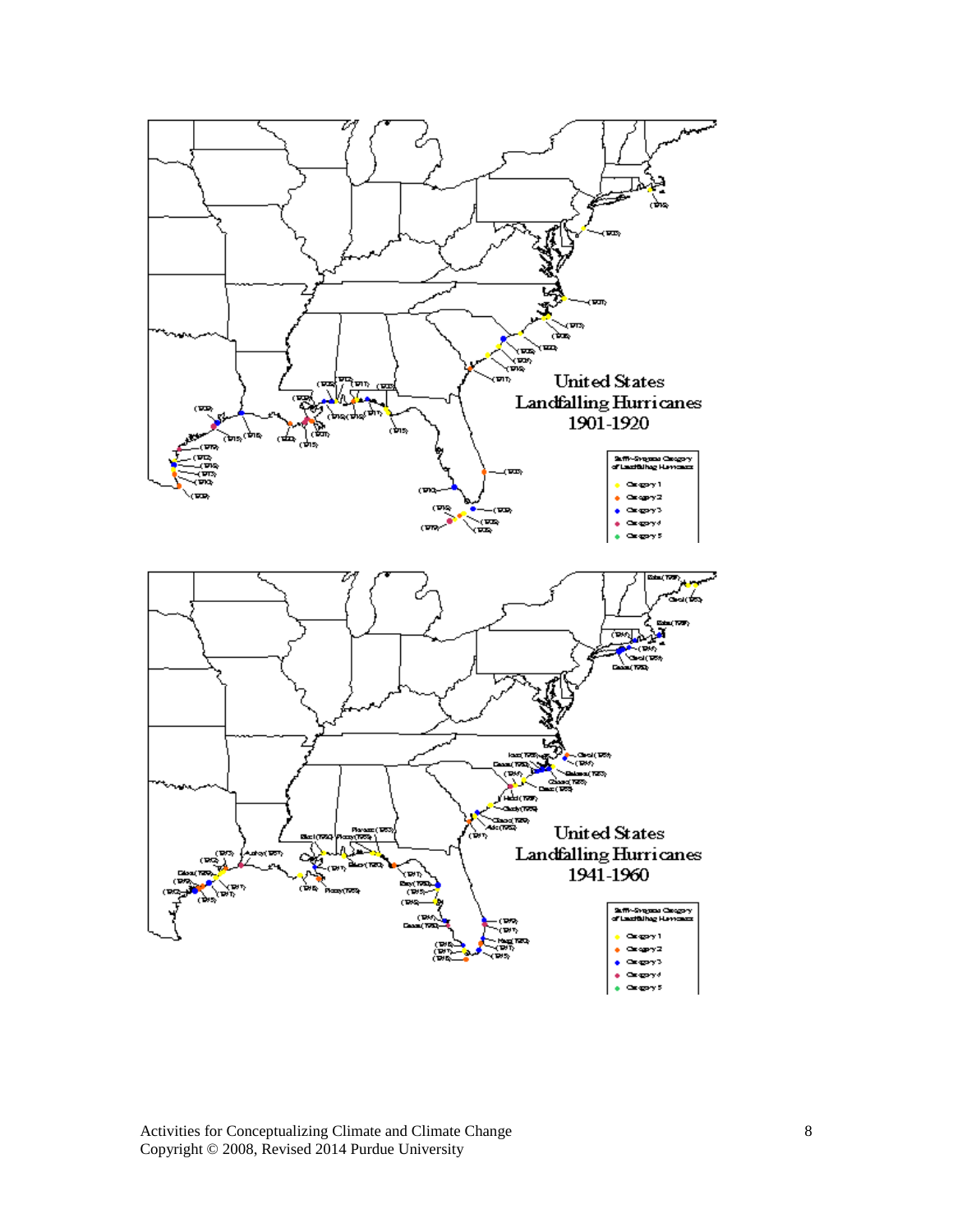

Activities for Conceptualizing Climate and Climate Change Copyright © 2008, Revised 2014 Purdue University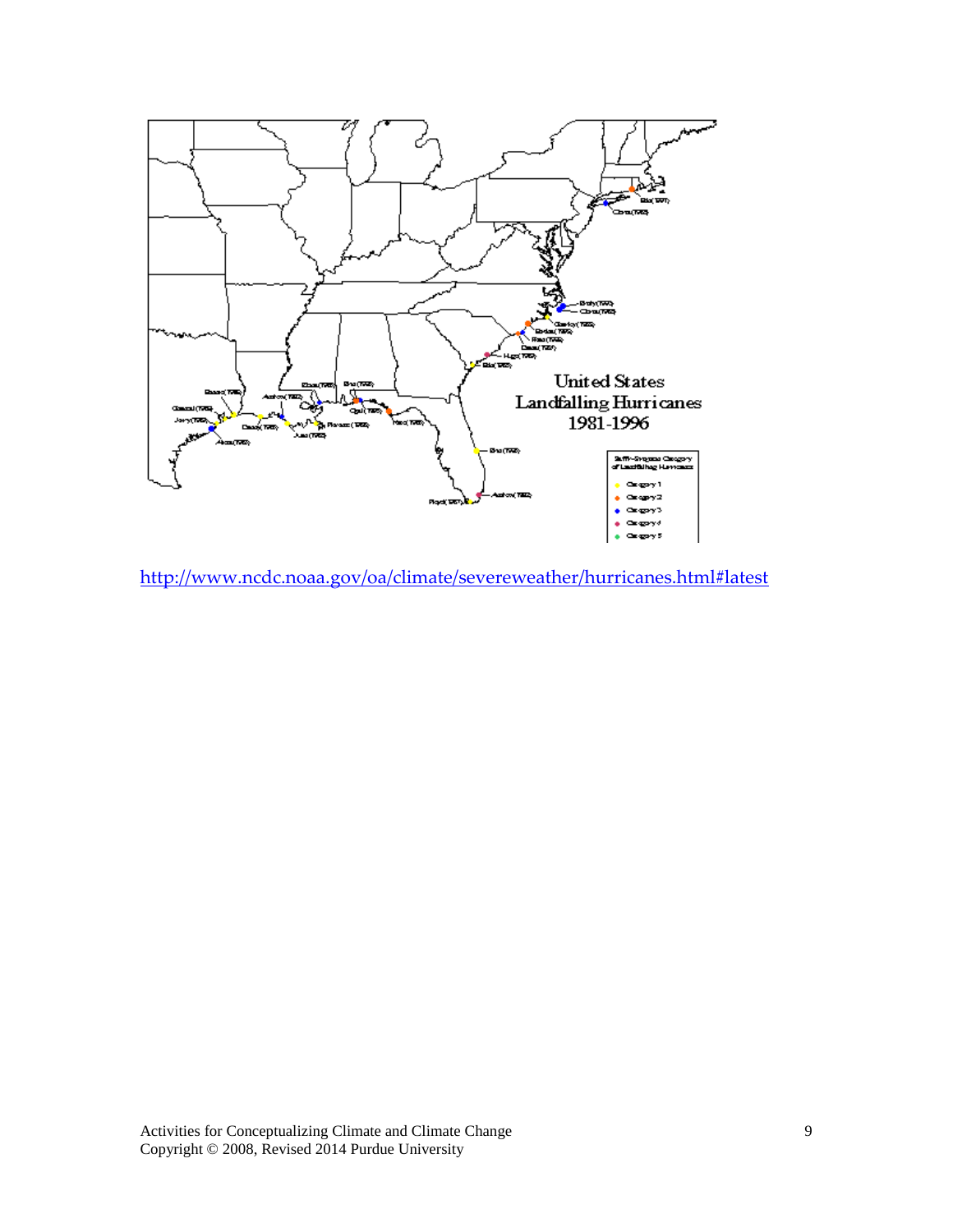

<http://www.ncdc.noaa.gov/oa/climate/severeweather/hurricanes.html#latest>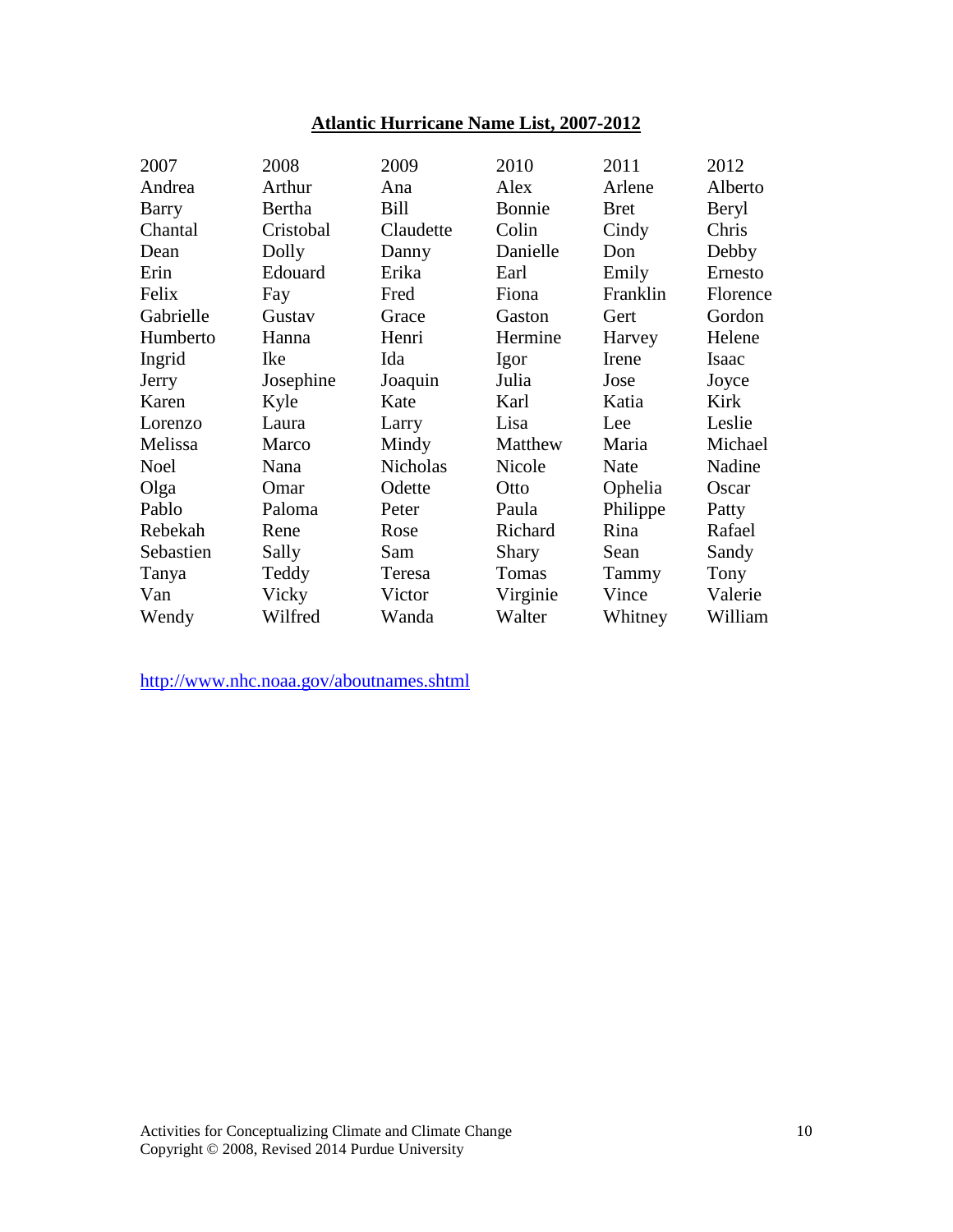# **Atlantic Hurricane Name List, 2007-2012**

| 2007         | 2008      | 2009            | 2010         | 2011        | 2012     |
|--------------|-----------|-----------------|--------------|-------------|----------|
| Andrea       | Arthur    | Ana             | Alex         | Arlene      | Alberto  |
| <b>Barry</b> | Bertha    | Bill            | Bonnie       | <b>Bret</b> | Beryl    |
| Chantal      | Cristobal | Claudette       | Colin        | Cindy       | Chris    |
| Dean         | Dolly     | Danny           | Danielle     | Don         | Debby    |
| Erin         | Edouard   | Erika           | Earl         | Emily       | Ernesto  |
| Felix        | Fay       | Fred            | Fiona        | Franklin    | Florence |
| Gabrielle    | Gustav    | Grace           | Gaston       | Gert        | Gordon   |
| Humberto     | Hanna     | Henri           | Hermine      | Harvey      | Helene   |
| Ingrid       | Ike       | Ida             | Igor         | Irene       | Isaac    |
| Jerry        | Josephine | Joaquin         | Julia        | Jose        | Joyce    |
| Karen        | Kyle      | Kate            | Karl         | Katia       | Kirk     |
| Lorenzo      | Laura     | Larry           | Lisa         | Lee         | Leslie   |
| Melissa      | Marco     | Mindy           | Matthew      | Maria       | Michael  |
| <b>Noel</b>  | Nana      | <b>Nicholas</b> | Nicole       | Nate        | Nadine   |
| Olga         | Omar      | Odette          | Otto         | Ophelia     | Oscar    |
| Pablo        | Paloma    | Peter           | Paula        | Philippe    | Patty    |
| Rebekah      | Rene      | Rose            | Richard      | Rina        | Rafael   |
| Sebastien    | Sally     | Sam             | <b>Shary</b> | Sean        | Sandy    |
| Tanya        | Teddy     | Teresa          | Tomas        | Tammy       | Tony     |
| Van          | Vicky     | Victor          | Virginie     | Vince       | Valerie  |
| Wendy        | Wilfred   | Wanda           | Walter       | Whitney     | William  |
|              |           |                 |              |             |          |

http://www.nhc.noaa.gov/aboutnames.shtml